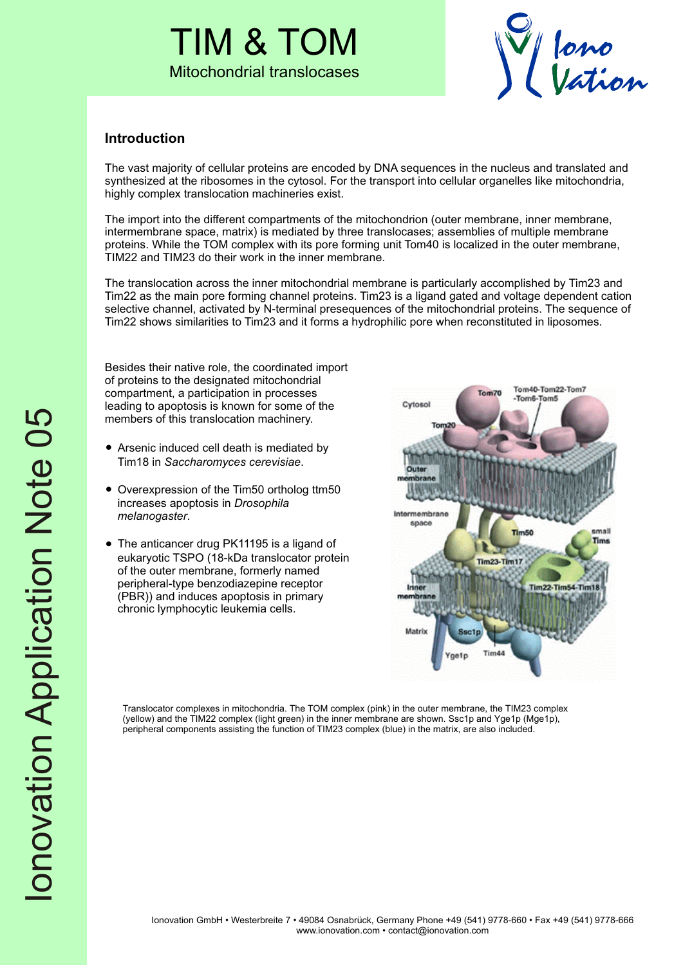# TIM & TOM Mitochondrial translocases



# **Introduction**

The vast majority of cellular proteins are encoded by DNA sequences in the nucleus and translated and synthesized at the ribosomes in the cytosol. For the transport into cellular organelles like mitochondria, highly complex translocation machineries exist.

The import into the different compartments of the mitochondrion (outer membrane, inner membrane, intermembrane space, matrix) is mediated by three translocases; assemblies of multiple membrane proteins. While the TOM complex with its pore forming unit Tom40 is localized in the outer membrane, TIM22 and TIM23 do their work in the inner membrane.

The translocation across the inner mitochondrial membrane is particularly accomplished by Tim23 and Tim22 as the main pore forming channel proteins. Tim23 is a ligand gated and voltage dependent cation selective channel, activated by N-terminal presequences of the mitochondrial proteins. The sequence of Tim22 shows similarities to Tim23 and it forms a hydrophilic pore when reconstituted in liposomes.

Besides their native role, the coordinated import of proteins to the designated mitochondrial compartment, a participation in processes leading to apoptosis is known for some of the members of this translocation machinery.

- Arsenic induced cell death is mediated by Tim18 in *Saccharomyces cerevisiae*.
- Overexpression of the Tim50 ortholog ttm50 increases apoptosis in *Drosophila melanogaster*.
- The anticancer drug PK11195 is a ligand of eukaryotic TSPO (18-kDa translocator protein of the outer membrane, formerly named peripheral-type benzodiazepine receptor (PBR)) and induces apoptosis in primary chronic lymphocytic leukemia cells.

Tom40-Tom22-Tom7 Tom70 Tom6-Tom5 Cytosol To Oute Intermemb space small Tim<sub>50</sub> Tims Tim23-Tim17 Inne **Tim22-Tim54-Tim18** Matrix Tim44

Translocator complexes in mitochondria. The TOM complex (pink) in the outer membrane, the TIM23 complex (yellow) and the TIM22 complex (light green) in the inner membrane are shown. Ssc1p and Yge1p (Mge1p), peripheral components assisting the function of TIM23 complex (blue) in the matrix, are also included.